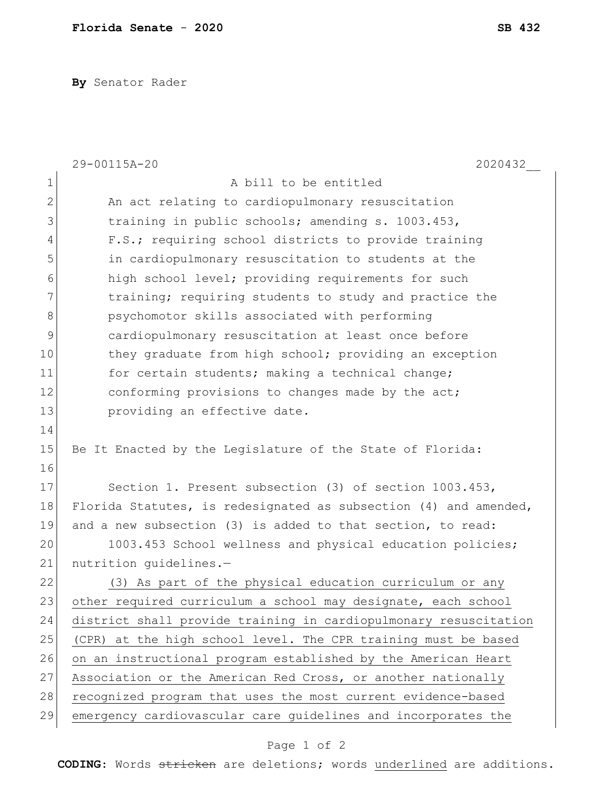**By** Senator Rader

|                | 29-00115A-20<br>2020432                                          |
|----------------|------------------------------------------------------------------|
| $\mathbf 1$    | A bill to be entitled                                            |
| $\mathbf{2}$   | An act relating to cardiopulmonary resuscitation                 |
| 3              | training in public schools; amending s. 1003.453,                |
| $\overline{4}$ | F.S.; requiring school districts to provide training             |
| 5              | in cardiopulmonary resuscitation to students at the              |
| 6              | high school level; providing requirements for such               |
| 7              | training; requiring students to study and practice the           |
| 8              | psychomotor skills associated with performing                    |
| $\mathcal{G}$  | cardiopulmonary resuscitation at least once before               |
| 10             | they graduate from high school; providing an exception           |
| 11             | for certain students; making a technical change;                 |
| 12             | conforming provisions to changes made by the act;                |
| 13             | providing an effective date.                                     |
| 14             |                                                                  |
| 15             | Be It Enacted by the Legislature of the State of Florida:        |
| 16             |                                                                  |
| 17             | Section 1. Present subsection (3) of section 1003.453,           |
| 18             | Florida Statutes, is redesignated as subsection (4) and amended, |
| 19             | and a new subsection (3) is added to that section, to read:      |
| 20             | 1003.453 School wellness and physical education policies;        |
| 21             | nutrition quidelines.-                                           |
| 22             | (3) As part of the physical education curriculum or any          |
| 23             | other required curriculum a school may designate, each school    |
| 24             | district shall provide training in cardiopulmonary resuscitation |
| 25             | (CPR) at the high school level. The CPR training must be based   |
| 26             | on an instructional program established by the American Heart    |
| 27             | Association or the American Red Cross, or another nationally     |
| 28             | recognized program that uses the most current evidence-based     |
| 29             | emergency cardiovascular care guidelines and incorporates the    |

## Page 1 of 2

**CODING**: Words stricken are deletions; words underlined are additions.